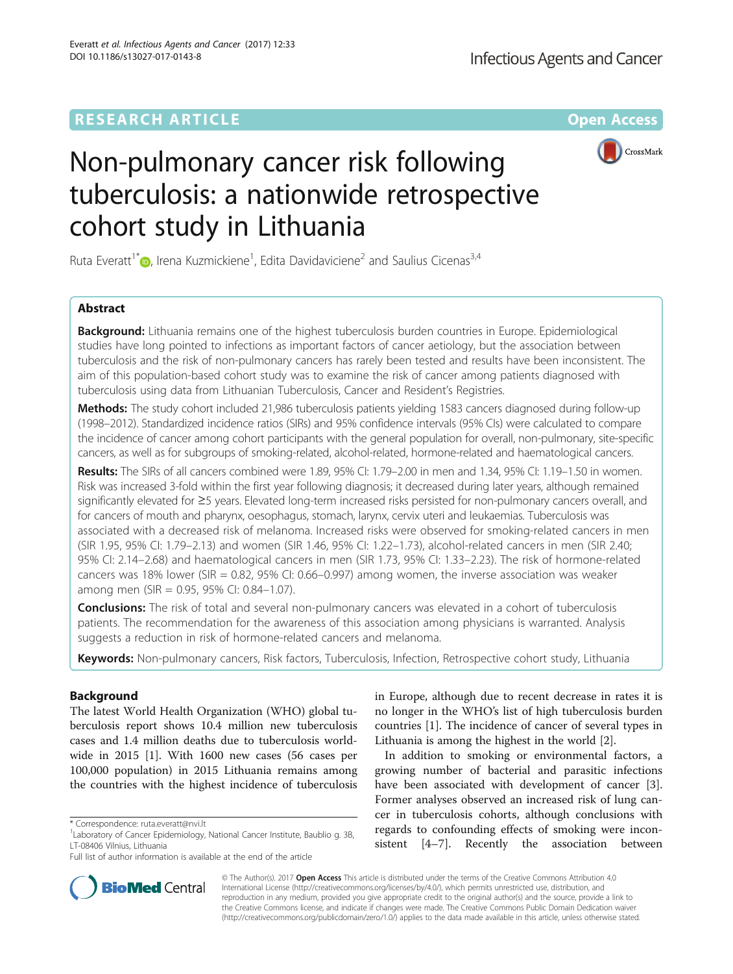# **RESEARCH ARTICLE Example 2014 12:30 The Contract of Contract ACCESS**



# Non-pulmonary cancer risk following tuberculosis: a nationwide retrospective cohort study in Lithuania

Ruta Everatt<sup>1\*</sup> $\bullet$ , Irena Kuzmickiene<sup>1</sup>, Edita Davidaviciene<sup>2</sup> and Saulius Cicenas<sup>3,4</sup>

# Abstract

**Background:** Lithuania remains one of the highest tuberculosis burden countries in Europe. Epidemiological studies have long pointed to infections as important factors of cancer aetiology, but the association between tuberculosis and the risk of non-pulmonary cancers has rarely been tested and results have been inconsistent. The aim of this population-based cohort study was to examine the risk of cancer among patients diagnosed with tuberculosis using data from Lithuanian Tuberculosis, Cancer and Resident's Registries.

Methods: The study cohort included 21,986 tuberculosis patients yielding 1583 cancers diagnosed during follow-up (1998–2012). Standardized incidence ratios (SIRs) and 95% confidence intervals (95% CIs) were calculated to compare the incidence of cancer among cohort participants with the general population for overall, non-pulmonary, site-specific cancers, as well as for subgroups of smoking-related, alcohol-related, hormone-related and haematological cancers.

Results: The SIRs of all cancers combined were 1.89, 95% CI: 1.79–2.00 in men and 1.34, 95% CI: 1.19–1.50 in women. Risk was increased 3-fold within the first year following diagnosis; it decreased during later years, although remained significantly elevated for ≥5 years. Elevated long-term increased risks persisted for non-pulmonary cancers overall, and for cancers of mouth and pharynx, oesophagus, stomach, larynx, cervix uteri and leukaemias. Tuberculosis was associated with a decreased risk of melanoma. Increased risks were observed for smoking-related cancers in men (SIR 1.95, 95% CI: 1.79–2.13) and women (SIR 1.46, 95% CI: 1.22–1.73), alcohol-related cancers in men (SIR 2.40; 95% CI: 2.14–2.68) and haematological cancers in men (SIR 1.73, 95% CI: 1.33–2.23). The risk of hormone-related cancers was 18% lower (SIR = 0.82, 95% CI: 0.66–0.997) among women, the inverse association was weaker among men (SIR = 0.95, 95% CI: 0.84–1.07).

**Conclusions:** The risk of total and several non-pulmonary cancers was elevated in a cohort of tuberculosis patients. The recommendation for the awareness of this association among physicians is warranted. Analysis suggests a reduction in risk of hormone-related cancers and melanoma.

Keywords: Non-pulmonary cancers, Risk factors, Tuberculosis, Infection, Retrospective cohort study, Lithuania

# Background

The latest World Health Organization (WHO) global tuberculosis report shows 10.4 million new tuberculosis cases and 1.4 million deaths due to tuberculosis worldwide in 2015 [\[1\]](#page-5-0). With 1600 new cases (56 cases per 100,000 population) in 2015 Lithuania remains among the countries with the highest incidence of tuberculosis



In addition to smoking or environmental factors, a growing number of bacterial and parasitic infections have been associated with development of cancer [\[3](#page-5-0)]. Former analyses observed an increased risk of lung cancer in tuberculosis cohorts, although conclusions with regards to confounding effects of smoking were inconsistent [[4](#page-5-0)–[7](#page-5-0)]. Recently the association between



© The Author(s). 2017 **Open Access** This article is distributed under the terms of the Creative Commons Attribution 4.0 International License [\(http://creativecommons.org/licenses/by/4.0/](http://creativecommons.org/licenses/by/4.0/)), which permits unrestricted use, distribution, and reproduction in any medium, provided you give appropriate credit to the original author(s) and the source, provide a link to the Creative Commons license, and indicate if changes were made. The Creative Commons Public Domain Dedication waiver [\(http://creativecommons.org/publicdomain/zero/1.0/](http://creativecommons.org/publicdomain/zero/1.0/)) applies to the data made available in this article, unless otherwise stated.

<sup>\*</sup> Correspondence: [ruta.everatt@nvi.lt](mailto:ruta.everatt@nvi.lt) <sup>1</sup>

<sup>&</sup>lt;sup>1</sup> Laboratory of Cancer Epidemiology, National Cancer Institute, Baublio g. 3B, LT-08406 Vilnius, Lithuania

Full list of author information is available at the end of the article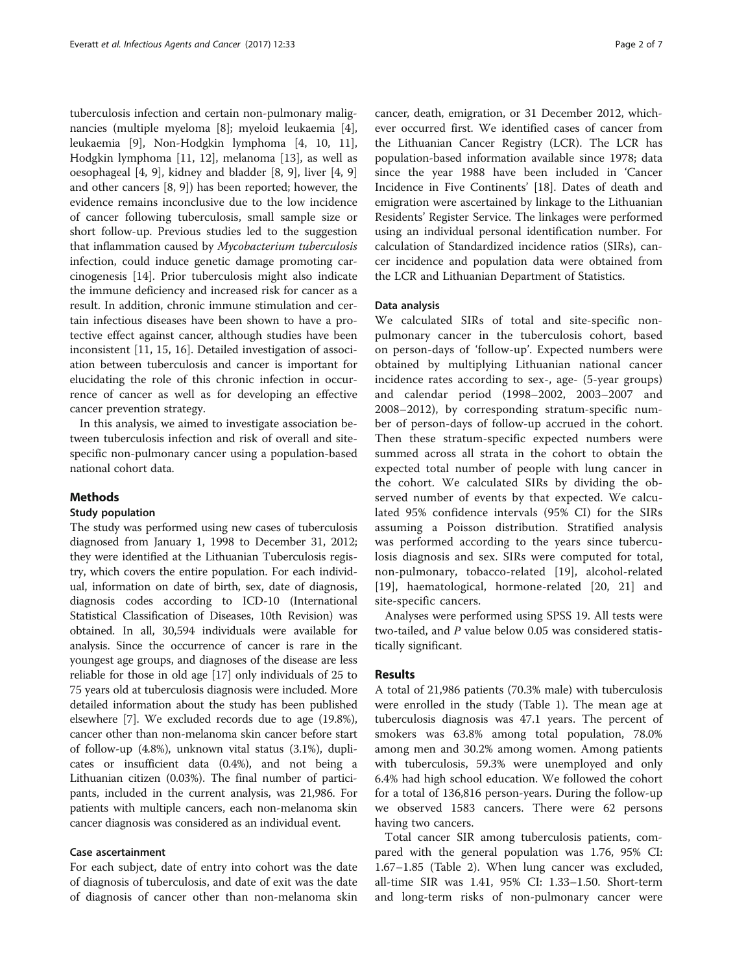tuberculosis infection and certain non-pulmonary malignancies (multiple myeloma [[8\]](#page-5-0); myeloid leukaemia [\[4](#page-5-0)], leukaemia [[9\]](#page-5-0), Non-Hodgkin lymphoma [[4](#page-5-0), [10](#page-5-0), [11](#page-5-0)], Hodgkin lymphoma [\[11](#page-5-0), [12](#page-5-0)], melanoma [[13\]](#page-5-0), as well as oesophageal [[4, 9](#page-5-0)], kidney and bladder [\[8](#page-5-0), [9\]](#page-5-0), liver [[4, 9](#page-5-0)] and other cancers [[8, 9\]](#page-5-0)) has been reported; however, the evidence remains inconclusive due to the low incidence of cancer following tuberculosis, small sample size or short follow-up. Previous studies led to the suggestion that inflammation caused by Mycobacterium tuberculosis infection, could induce genetic damage promoting carcinogenesis [[14\]](#page-5-0). Prior tuberculosis might also indicate the immune deficiency and increased risk for cancer as a result. In addition, chronic immune stimulation and certain infectious diseases have been shown to have a protective effect against cancer, although studies have been inconsistent [\[11,](#page-5-0) [15, 16\]](#page-6-0). Detailed investigation of association between tuberculosis and cancer is important for elucidating the role of this chronic infection in occurrence of cancer as well as for developing an effective cancer prevention strategy.

In this analysis, we aimed to investigate association between tuberculosis infection and risk of overall and sitespecific non-pulmonary cancer using a population-based national cohort data.

# Methods

# Study population

The study was performed using new cases of tuberculosis diagnosed from January 1, 1998 to December 31, 2012; they were identified at the Lithuanian Tuberculosis registry, which covers the entire population. For each individual, information on date of birth, sex, date of diagnosis, diagnosis codes according to ICD-10 (International Statistical Classification of Diseases, 10th Revision) was obtained. In all, 30,594 individuals were available for analysis. Since the occurrence of cancer is rare in the youngest age groups, and diagnoses of the disease are less reliable for those in old age [\[17\]](#page-6-0) only individuals of 25 to 75 years old at tuberculosis diagnosis were included. More detailed information about the study has been published elsewhere [\[7](#page-5-0)]. We excluded records due to age (19.8%), cancer other than non-melanoma skin cancer before start of follow-up (4.8%), unknown vital status (3.1%), duplicates or insufficient data (0.4%), and not being a Lithuanian citizen (0.03%). The final number of participants, included in the current analysis, was 21,986. For patients with multiple cancers, each non-melanoma skin cancer diagnosis was considered as an individual event.

## Case ascertainment

For each subject, date of entry into cohort was the date of diagnosis of tuberculosis, and date of exit was the date of diagnosis of cancer other than non-melanoma skin cancer, death, emigration, or 31 December 2012, whichever occurred first. We identified cases of cancer from the Lithuanian Cancer Registry (LCR). The LCR has population-based information available since 1978; data since the year 1988 have been included in 'Cancer Incidence in Five Continents' [\[18\]](#page-6-0). Dates of death and emigration were ascertained by linkage to the Lithuanian Residents' Register Service. The linkages were performed using an individual personal identification number. For calculation of Standardized incidence ratios (SIRs), cancer incidence and population data were obtained from the LCR and Lithuanian Department of Statistics.

## Data analysis

We calculated SIRs of total and site-specific nonpulmonary cancer in the tuberculosis cohort, based on person-days of 'follow-up'. Expected numbers were obtained by multiplying Lithuanian national cancer incidence rates according to sex-, age- (5-year groups) and calendar period (1998–2002, 2003–2007 and 2008–2012), by corresponding stratum-specific number of person-days of follow-up accrued in the cohort. Then these stratum-specific expected numbers were summed across all strata in the cohort to obtain the expected total number of people with lung cancer in the cohort. We calculated SIRs by dividing the observed number of events by that expected. We calculated 95% confidence intervals (95% CI) for the SIRs assuming a Poisson distribution. Stratified analysis was performed according to the years since tuberculosis diagnosis and sex. SIRs were computed for total, non-pulmonary, tobacco-related [[19\]](#page-6-0), alcohol-related [[19\]](#page-6-0), haematological, hormone-related [\[20](#page-6-0), [21\]](#page-6-0) and site-specific cancers.

Analyses were performed using SPSS 19. All tests were two-tailed, and  $P$  value below 0.05 was considered statistically significant.

# Results

A total of 21,986 patients (70.3% male) with tuberculosis were enrolled in the study (Table [1](#page-2-0)). The mean age at tuberculosis diagnosis was 47.1 years. The percent of smokers was 63.8% among total population, 78.0% among men and 30.2% among women. Among patients with tuberculosis, 59.3% were unemployed and only 6.4% had high school education. We followed the cohort for a total of 136,816 person-years. During the follow-up we observed 1583 cancers. There were 62 persons having two cancers.

Total cancer SIR among tuberculosis patients, compared with the general population was 1.76, 95% CI: 1.67–1.85 (Table [2\)](#page-3-0). When lung cancer was excluded, all-time SIR was 1.41, 95% CI: 1.33–1.50. Short-term and long-term risks of non-pulmonary cancer were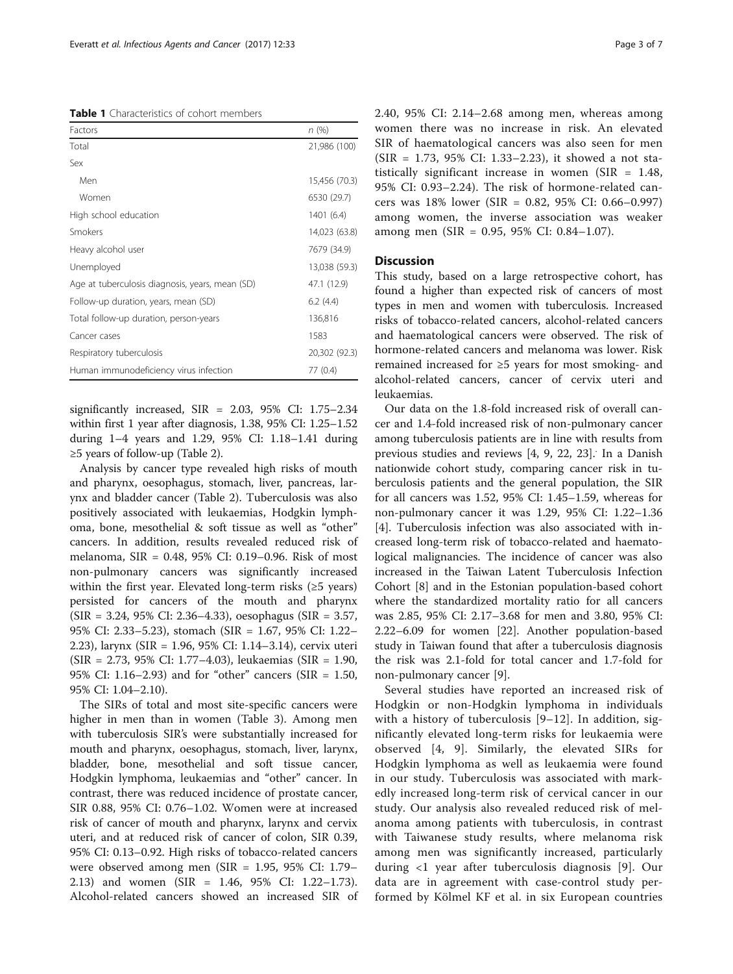<span id="page-2-0"></span>Table 1 Characteristics of cohort members

| Factors                                         | n(%)          |
|-------------------------------------------------|---------------|
| Total                                           | 21,986 (100)  |
| Sex                                             |               |
| Men                                             | 15,456 (70.3) |
| Women                                           | 6530 (29.7)   |
| High school education                           | 1401(6.4)     |
| Smokers                                         | 14,023 (63.8) |
| Heavy alcohol user                              | 7679 (34.9)   |
| Unemployed                                      | 13,038 (59.3) |
| Age at tuberculosis diagnosis, years, mean (SD) | 47.1 (12.9)   |
| Follow-up duration, years, mean (SD)            | 6.2(4.4)      |
| Total follow-up duration, person-years          | 136,816       |
| Cancer cases                                    | 1583          |
| Respiratory tuberculosis                        | 20,302 (92.3) |
| Human immunodeficiency virus infection          | 77 (0.4)      |

significantly increased, SIR = 2.03, 95% CI: 1.75–2.34 within first 1 year after diagnosis, 1.38, 95% CI: 1.25–1.52 during 1–4 years and 1.29, 95% CI: 1.18–1.41 during ≥5 years of follow-up (Table [2](#page-3-0)).

Analysis by cancer type revealed high risks of mouth and pharynx, oesophagus, stomach, liver, pancreas, larynx and bladder cancer (Table [2](#page-3-0)). Tuberculosis was also positively associated with leukaemias, Hodgkin lymphoma, bone, mesothelial & soft tissue as well as "other" cancers. In addition, results revealed reduced risk of melanoma, SIR = 0.48, 95% CI: 0.19–0.96. Risk of most non-pulmonary cancers was significantly increased within the first year. Elevated long-term risks  $(\geq 5$  years) persisted for cancers of the mouth and pharynx (SIR = 3.24, 95% CI: 2.36–4.33), oesophagus (SIR = 3.57, 95% CI: 2.33–5.23), stomach (SIR = 1.67, 95% CI: 1.22– 2.23), larynx (SIR = 1.96, 95% CI: 1.14–3.14), cervix uteri (SIR = 2.73, 95% CI: 1.77–4.03), leukaemias (SIR = 1.90, 95% CI: 1.16–2.93) and for "other" cancers (SIR = 1.50, 95% CI: 1.04–2.10).

The SIRs of total and most site-specific cancers were higher in men than in women (Table [3\)](#page-4-0). Among men with tuberculosis SIR's were substantially increased for mouth and pharynx, oesophagus, stomach, liver, larynx, bladder, bone, mesothelial and soft tissue cancer, Hodgkin lymphoma, leukaemias and "other" cancer. In contrast, there was reduced incidence of prostate cancer, SIR 0.88, 95% CI: 0.76–1.02. Women were at increased risk of cancer of mouth and pharynx, larynx and cervix uteri, and at reduced risk of cancer of colon, SIR 0.39, 95% CI: 0.13–0.92. High risks of tobacco-related cancers were observed among men (SIR = 1.95, 95% CI: 1.79– 2.13) and women (SIR = 1.46, 95% CI: 1.22–1.73). Alcohol-related cancers showed an increased SIR of 2.40, 95% CI: 2.14–2.68 among men, whereas among women there was no increase in risk. An elevated SIR of haematological cancers was also seen for men (SIR = 1.73, 95% CI: 1.33–2.23), it showed a not statistically significant increase in women (SIR = 1.48, 95% CI: 0.93–2.24). The risk of hormone-related cancers was 18% lower (SIR = 0.82, 95% CI: 0.66–0.997) among women, the inverse association was weaker among men (SIR = 0.95, 95% CI: 0.84–1.07).

# **Discussion**

This study, based on a large retrospective cohort, has found a higher than expected risk of cancers of most types in men and women with tuberculosis. Increased risks of tobacco-related cancers, alcohol-related cancers and haematological cancers were observed. The risk of hormone-related cancers and melanoma was lower. Risk remained increased for ≥5 years for most smoking- and alcohol-related cancers, cancer of cervix uteri and leukaemias.

Our data on the 1.8-fold increased risk of overall cancer and 1.4-fold increased risk of non-pulmonary cancer among tuberculosis patients are in line with results from previous studies and reviews [\[4](#page-5-0), [9,](#page-5-0) [22, 23\]](#page-6-0). In a Danish nationwide cohort study, comparing cancer risk in tuberculosis patients and the general population, the SIR for all cancers was 1.52, 95% CI: 1.45–1.59, whereas for non-pulmonary cancer it was 1.29, 95% CI: 1.22–1.36 [[4\]](#page-5-0). Tuberculosis infection was also associated with increased long-term risk of tobacco-related and haematological malignancies. The incidence of cancer was also increased in the Taiwan Latent Tuberculosis Infection Cohort [\[8](#page-5-0)] and in the Estonian population-based cohort where the standardized mortality ratio for all cancers was 2.85, 95% CI: 2.17–3.68 for men and 3.80, 95% CI: 2.22–6.09 for women [[22\]](#page-6-0). Another population-based study in Taiwan found that after a tuberculosis diagnosis the risk was 2.1-fold for total cancer and 1.7-fold for non-pulmonary cancer [\[9](#page-5-0)].

Several studies have reported an increased risk of Hodgkin or non-Hodgkin lymphoma in individuals with a history of tuberculosis [[9](#page-5-0)–[12](#page-5-0)]. In addition, significantly elevated long-term risks for leukaemia were observed [[4](#page-5-0), [9](#page-5-0)]. Similarly, the elevated SIRs for Hodgkin lymphoma as well as leukaemia were found in our study. Tuberculosis was associated with markedly increased long-term risk of cervical cancer in our study. Our analysis also revealed reduced risk of melanoma among patients with tuberculosis, in contrast with Taiwanese study results, where melanoma risk among men was significantly increased, particularly during <1 year after tuberculosis diagnosis [[9\]](#page-5-0). Our data are in agreement with case-control study performed by Kölmel KF et al. in six European countries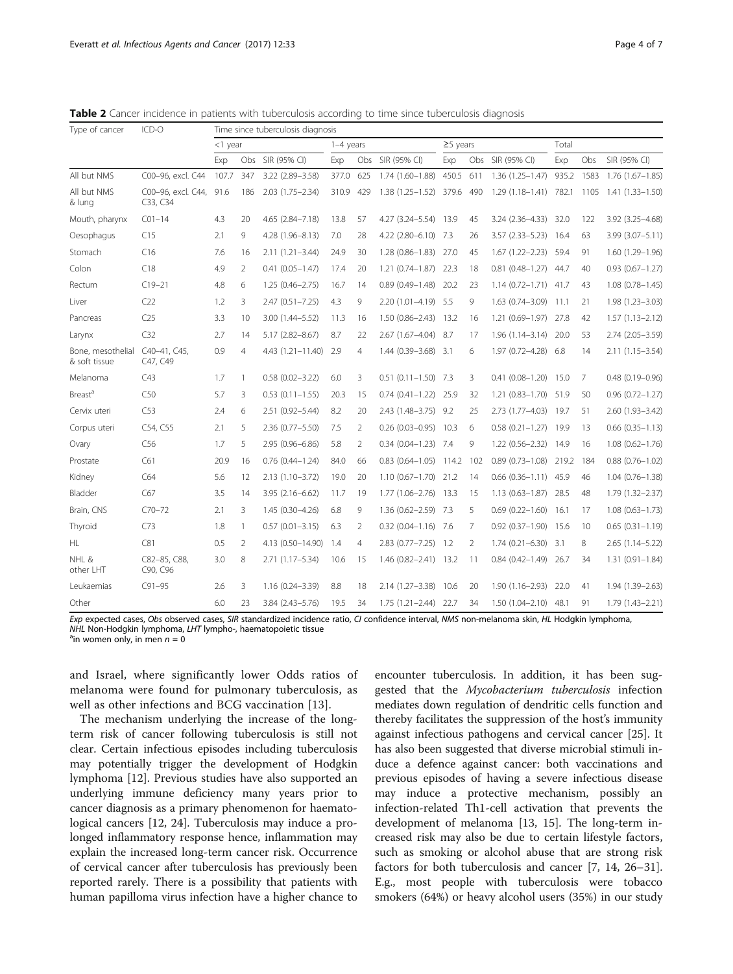<span id="page-3-0"></span>Table 2 Cancer incidence in patients with tuberculosis according to time since tuberculosis diagnosis

| Type of cancer                     | ICD-O                          | Time since tuberculosis diagnosis |                |                        |             |                |                           |                |                |                             |       |      |                        |
|------------------------------------|--------------------------------|-----------------------------------|----------------|------------------------|-------------|----------------|---------------------------|----------------|----------------|-----------------------------|-------|------|------------------------|
|                                    |                                | <1 year                           |                |                        | $1-4$ years |                |                           | $\geq$ 5 years |                |                             | Total |      |                        |
|                                    |                                | Exp                               |                | Obs SIR (95% CI)       | Exp         |                | Obs SIR (95% CI)          | Exp            |                | Obs SIR (95% CI)            | Exp   | Obs  | SIR (95% CI)           |
| All but NMS                        | C00-96, excl. C44              | 107.7                             | 347            | 3.22 (2.89-3.58)       | 377.0       | 625            | $1.74(1.60 - 1.88)$       | 450.5          | 611            | $1.36(1.25 - 1.47)$         | 935.2 |      | 1583 1.76 (1.67-1.85)  |
| All but NMS<br>& lung              | C00-96, excl. C44,<br>C33, C34 | 91.6                              | 186            | $2.03(1.75 - 2.34)$    | 310.9       | 429            | 1.38 (1.25-1.52) 379.6    |                | 490            | 1.29 (1.18-1.41) 782.1      |       | 1105 | 1.41 (1.33–1.50)       |
| Mouth, pharynx                     | $C01 - 14$                     | 4.3                               | 20             | 4.65 (2.84-7.18)       | 13.8        | 57             | 4.27 (3.24-5.54) 13.9     |                | 45             | $3.24(2.36-4.33)$           | 32.0  | 122  | 3.92 (3.25-4.68)       |
| Oesophagus                         | C15                            | 2.1                               | 9              | 4.28 (1.96-8.13)       | 7.0         | 28             | 4.22 (2.80-6.10) 7.3      |                | 26             | 3.57 (2.33-5.23) 16.4       |       | 63   | 3.99 (3.07-5.11)       |
| Stomach                            | C16                            | 7.6                               | 16             | $2.11(1.21 - 3.44)$    | 24.9        | 30             | 1.28 (0.86-1.83) 27.0     |                | 45             | 1.67 (1.22-2.23) 59.4       |       | 91   | 1.60 (1.29-1.96)       |
| Colon                              | C18                            | 4.9                               | $\overline{2}$ | $0.41(0.05 - 1.47)$    | 17.4        | 20             | $1.21(0.74 - 1.87)$ 22.3  |                | 18             | $0.81$ $(0.48 - 1.27)$ 44.7 |       | 40   | $0.93(0.67 - 1.27)$    |
| Rectum                             | $C19-21$                       | 4.8                               | 6              | $1.25(0.46 - 2.75)$    | 16.7        | 14             | $0.89(0.49 - 1.48)$ 20.2  |                | 23             | 1.14 (0.72-1.71) 41.7       |       | 43   | $1.08(0.78 - 1.45)$    |
| Liver                              | C22                            | 1.2                               | 3              | $2.47(0.51 - 7.25)$    | 4.3         | 9              | 2.20 (1.01-4.19) 5.5      |                | 9              | $1.63(0.74 - 3.09)$         | 11.1  | 21   | 1.98 (1.23-3.03)       |
| Pancreas                           | C25                            | 3.3                               | 10             | $3.00(1.44 - 5.52)$    | 11.3        | 16             | 1.50 (0.86-2.43) 13.2     |                | 16             | 1.21 (0.69-1.97) 27.8       |       | 42   | $1.57(1.13 - 2.12)$    |
| Larynx                             | C32                            | 2.7                               | 14             | $5.17(2.82 - 8.67)$    | 8.7         | 22             | 2.67 (1.67-4.04) 8.7      |                | 17             | 1.96 (1.14-3.14) 20.0       |       | 53   | 2.74 (2.05-3.59)       |
| Bone, mesothelial<br>& soft tissue | C40-41, C45,<br>C47, C49       | 0.9                               | $\overline{4}$ | 4.43 (1.21-11.40) 2.9  |             | 4              | 1.44 (0.39-3.68) 3.1      |                | 6              | 1.97 (0.72-4.28) 6.8        |       | 14   | $2.11(1.15 - 3.54)$    |
| Melanoma                           | C43                            | 1.7                               | $\mathbf{1}$   | $0.58(0.02 - 3.22)$    | 6.0         | 3              | $0.51(0.11 - 1.50)$ 7.3   |                | 3              | $0.41(0.08 - 1.20)$ 15.0    |       | 7    | $0.48(0.19 - 0.96)$    |
| <b>Breast<sup>a</sup></b>          | C50                            | 5.7                               | 3              | $0.53$ $(0.11 - 1.55)$ | 20.3        | 15             | $0.74(0.41 - 1.22)$       | 25.9           | 32             | $1.21(0.83 - 1.70)$         | 51.9  | 50   | $0.96(0.72 - 1.27)$    |
| Cervix uteri                       | C53                            | 2.4                               | 6              | 2.51 (0.92-5.44)       | 8.2         | 20             | 2.43 (1.48-3.75) 9.2      |                | 25             | 2.73 (1.77-4.03) 19.7       |       | 51   | 2.60 (1.93-3.42)       |
| Corpus uteri                       | C54, C55                       | 2.1                               | 5              | $2.36(0.77 - 5.50)$    | 7.5         | 2              | $0.26(0.03 - 0.95)$ 10.3  |                | 6              | $0.58(0.21 - 1.27)$ 19.9    |       | 13   | $0.66$ $(0.35 - 1.13)$ |
| Ovary                              | C56                            | 1.7                               | 5              | 2.95 (0.96-6.86)       | 5.8         | 2              | $0.34(0.04 - 1.23)$ 7.4   |                | 9              | $1.22(0.56 - 2.32)$         | 14.9  | 16   | $1.08(0.62 - 1.76)$    |
| Prostate                           | C61                            | 20.9                              | 16             | $0.76$ $(0.44 - 1.24)$ | 84.0        | 66             | $0.83(0.64 - 1.05)$ 114.2 |                | 102            | $0.89(0.73 - 1.08)$ 219.2   |       | 184  | $0.88(0.76 - 1.02)$    |
| Kidney                             | C64                            | 5.6                               | 12             | $2.13(1.10-3.72)$      | 19.0        | 20             | $1.10(0.67 - 1.70)$ 21.2  |                | 14             | $0.66$ $(0.36 - 1.11)$ 45.9 |       | 46   | $1.04(0.76 - 1.38)$    |
| Bladder                            | C67                            | 3.5                               | 14             | 3.95 (2.16-6.62)       | 11.7        | 19             | $1.77(1.06 - 2.76)$       | -13.3          | 15             | $1.13(0.63 - 1.87)$ 28.5    |       | 48   | 1.79 (1.32-2.37)       |
| Brain, CNS                         | $C70 - 72$                     | 2.1                               | 3              | 1.45 (0.30-4.26)       | 6.8         | 9              | 1.36 (0.62-2.59) 7.3      |                | 5              | $0.69(0.22 - 1.60)$         | 16.1  | 17   | $1.08(0.63 - 1.73)$    |
| Thyroid                            | C73                            | 1.8                               | $\mathbf{1}$   | $0.57(0.01 - 3.15)$    | 6.3         | 2              | $0.32(0.04 - 1.16)$ 7.6   |                | $\overline{7}$ | $0.92$ $(0.37-1.90)$ 15.6   |       | 10   | $0.65(0.31 - 1.19)$    |
| <b>HL</b>                          | C81                            | 0.5                               | $\overline{2}$ | 4.13 (0.50-14.90)      | -1.4        | $\overline{4}$ | $2.83(0.77 - 7.25)$ 1.2   |                | 2              | $1.74(0.21 - 6.30)$ 3.1     |       | 8    | 2.65 (1.14-5.22)       |
| NHL &<br>other LHT                 | C82-85, C88,<br>C90, C96       | 3.0                               | 8              | 2.71 (1.17-5.34)       | 10.6        | 15             | 1.46 (0.82-2.41) 13.2     |                | 11             | $0.84$ (0.42-1.49) 26.7     |       | 34   | $1.31(0.91 - 1.84)$    |
| Leukaemias                         | $C91 - 95$                     | 2.6                               | 3              | 1.16 (0.24-3.39)       | 8.8         | 18             | $2.14(1.27 - 3.38)$       | 10.6           | 20             | $1.90(1.16 - 2.93)$         | 22.0  | 41   | 1.94 (1.39-2.63)       |
| Other                              |                                | 6.0                               | 23             | 3.84 (2.43-5.76)       | 19.5        | 34             | $1.75(1.21 - 2.44)$ 22.7  |                | 34             | 1.50 (1.04-2.10) 48.1       |       | 91   | 1.79 (1.43-2.21)       |

Exp expected cases, Obs observed cases, SIR standardized incidence ratio, CI confidence interval, NMS non-melanoma skin, HL Hodgkin lymphoma, NHL Non-Hodgkin lymphoma, LHT lympho-, haematopoietic tissue

<sup>a</sup>in women only, in men  $n = 0$ 

and Israel, where significantly lower Odds ratios of melanoma were found for pulmonary tuberculosis, as well as other infections and BCG vaccination [[13\]](#page-5-0).

The mechanism underlying the increase of the longterm risk of cancer following tuberculosis is still not clear. Certain infectious episodes including tuberculosis may potentially trigger the development of Hodgkin lymphoma [[12](#page-5-0)]. Previous studies have also supported an underlying immune deficiency many years prior to cancer diagnosis as a primary phenomenon for haematological cancers [[12](#page-5-0), [24\]](#page-6-0). Tuberculosis may induce a prolonged inflammatory response hence, inflammation may explain the increased long-term cancer risk. Occurrence of cervical cancer after tuberculosis has previously been reported rarely. There is a possibility that patients with human papilloma virus infection have a higher chance to

encounter tuberculosis. In addition, it has been suggested that the Mycobacterium tuberculosis infection mediates down regulation of dendritic cells function and thereby facilitates the suppression of the host's immunity against infectious pathogens and cervical cancer [\[25\]](#page-6-0). It has also been suggested that diverse microbial stimuli induce a defence against cancer: both vaccinations and previous episodes of having a severe infectious disease may induce a protective mechanism, possibly an infection-related Th1-cell activation that prevents the development of melanoma [[13,](#page-5-0) [15](#page-6-0)]. The long-term increased risk may also be due to certain lifestyle factors, such as smoking or alcohol abuse that are strong risk factors for both tuberculosis and cancer [[7, 14,](#page-5-0) [26](#page-6-0)–[31](#page-6-0)]. E.g., most people with tuberculosis were tobacco smokers (64%) or heavy alcohol users (35%) in our study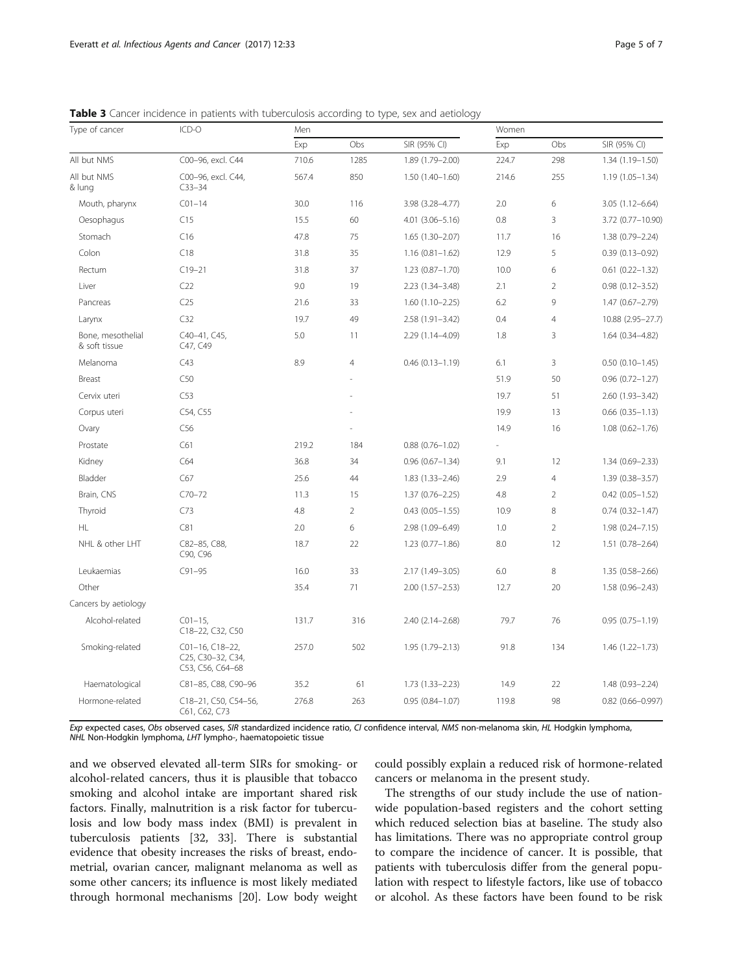| Type of cancer                     | ICD-O                                                    | Men   |                |                        | Women |                |                        |  |
|------------------------------------|----------------------------------------------------------|-------|----------------|------------------------|-------|----------------|------------------------|--|
|                                    |                                                          | Exp   | Obs            | SIR (95% CI)           | Exp   | Obs            | SIR (95% CI)           |  |
| All but NMS                        | C00-96, excl. C44                                        | 710.6 | 1285           | 1.89 (1.79-2.00)       | 224.7 | 298            | 1.34 (1.19-1.50)       |  |
| All but NMS<br>& lung              | C00-96, excl. C44,<br>$C33 - 34$                         | 567.4 | 850            | $1.50(1.40-1.60)$      | 214.6 | 255            | $1.19(1.05 - 1.34)$    |  |
| Mouth, pharynx                     | $C01 - 14$                                               | 30.0  | 116            | 3.98 (3.28-4.77)       | 2.0   | 6              | $3.05(1.12 - 6.64)$    |  |
| Oesophagus                         | C15                                                      | 15.5  | 60             | $4.01(3.06 - 5.16)$    | 0.8   | 3              | 3.72 (0.77-10.90)      |  |
| Stomach                            | C16                                                      | 47.8  | 75             | $1.65(1.30-2.07)$      | 11.7  | 16             | 1.38 (0.79-2.24)       |  |
| Colon                              | C18                                                      | 31.8  | 35             | $1.16(0.81 - 1.62)$    | 12.9  | 5              | $0.39(0.13 - 0.92)$    |  |
| Rectum                             | $C19 - 21$                                               | 31.8  | 37             | $1.23(0.87 - 1.70)$    | 10.0  | 6              | $0.61$ $(0.22 - 1.32)$ |  |
| Liver                              | C22                                                      | 9.0   | 19             | 2.23 (1.34-3.48)       | 2.1   | $\overline{2}$ | $0.98(0.12 - 3.52)$    |  |
| Pancreas                           | C <sub>25</sub>                                          | 21.6  | 33             | $1.60(1.10-2.25)$      | 6.2   | 9              | 1.47 (0.67-2.79)       |  |
| Larynx                             | C32                                                      | 19.7  | 49             | $2.58(1.91 - 3.42)$    | 0.4   | $\overline{4}$ | 10.88 (2.95-27.7)      |  |
| Bone, mesothelial<br>& soft tissue | C40-41, C45,<br>C47, C49                                 | 5.0   | 11             | 2.29 (1.14-4.09)       | 1.8   | 3              | $1.64(0.34 - 4.82)$    |  |
| Melanoma                           | C43                                                      | 8.9   | $\overline{4}$ | $0.46(0.13 - 1.19)$    | 6.1   | 3              | $0.50(0.10-1.45)$      |  |
| Breast                             | C50                                                      |       |                |                        | 51.9  | 50             | $0.96$ $(0.72 - 1.27)$ |  |
| Cervix uteri                       | C53                                                      |       |                |                        | 19.7  | 51             | 2.60 (1.93-3.42)       |  |
| Corpus uteri                       | C54, C55                                                 |       |                |                        | 19.9  | 13             | $0.66$ $(0.35 - 1.13)$ |  |
| Ovary                              | C <sub>56</sub>                                          |       |                |                        | 14.9  | 16             | $1.08(0.62 - 1.76)$    |  |
| Prostate                           | C61                                                      | 219.2 | 184            | $0.88(0.76 - 1.02)$    | ÷     |                |                        |  |
| Kidney                             | C64                                                      | 36.8  | 34             | $0.96(0.67 - 1.34)$    | 9.1   | 12             | 1.34 (0.69-2.33)       |  |
| Bladder                            | C67                                                      | 25.6  | 44             | $1.83(1.33 - 2.46)$    | 2.9   | $\overline{4}$ | 1.39 (0.38-3.57)       |  |
| Brain, CNS                         | $C70 - 72$                                               | 11.3  | 15             | $1.37(0.76 - 2.25)$    | 4.8   | $\overline{2}$ | $0.42$ (0.05-1.52)     |  |
| Thyroid                            | C73                                                      | 4.8   | $\overline{2}$ | $0.43$ $(0.05 - 1.55)$ | 10.9  | 8              | $0.74(0.32 - 1.47)$    |  |
| HL.                                | C81                                                      | 2.0   | 6              | 2.98 (1.09-6.49)       | 1.0   | $\overline{2}$ | $1.98(0.24 - 7.15)$    |  |
| NHL & other LHT                    | C82-85, C88,<br>C90, C96                                 | 18.7  | 22             | $1.23(0.77 - 1.86)$    | 8.0   | 12             | $1.51(0.78 - 2.64)$    |  |
| Leukaemias                         | $C91 - 95$                                               | 16.0  | 33             | 2.17 (1.49-3.05)       | 6.0   | 8              | $1.35(0.58 - 2.66)$    |  |
| Other                              |                                                          | 35.4  | 71             | $2.00(1.57 - 2.53)$    | 12.7  | 20             | $1.58(0.96 - 2.43)$    |  |
| Cancers by aetiology               |                                                          |       |                |                        |       |                |                        |  |
| Alcohol-related                    | $C01-15$<br>C18-22, C32, C50                             | 131.7 | 316            | $2.40(2.14 - 2.68)$    | 79.7  | 76             | $0.95(0.75 - 1.19)$    |  |
| Smoking-related                    | C01-16, C18-22,<br>C25, C30-32, C34,<br>C53, C56, C64-68 | 257.0 | 502            | 1.95 (1.79-2.13)       | 91.8  | 134            | $1.46(1.22 - 1.73)$    |  |
| Haematological                     | C81-85, C88, C90-96                                      | 35.2  | 61             | $1.73(1.33 - 2.23)$    | 14.9  | 22             | 1.48 (0.93-2.24)       |  |
| Hormone-related                    | C18-21, C50, C54-56,<br>C61, C62, C73                    | 276.8 | 263            | $0.95(0.84 - 1.07)$    | 119.8 | 98             | $0.82$ (0.66-0.997)    |  |

<span id="page-4-0"></span>**Table 3** Cancer incidence in patients with tuberculosis according to type, sex and aetiology

Exp expected cases, Obs observed cases, SIR standardized incidence ratio, CI confidence interval, NMS non-melanoma skin, HL Hodgkin lymphoma, NHL Non-Hodgkin lymphoma, LHT lympho-, haematopoietic tissue

and we observed elevated all-term SIRs for smoking- or alcohol-related cancers, thus it is plausible that tobacco smoking and alcohol intake are important shared risk factors. Finally, malnutrition is a risk factor for tuberculosis and low body mass index (BMI) is prevalent in tuberculosis patients [\[32](#page-6-0), [33](#page-6-0)]. There is substantial evidence that obesity increases the risks of breast, endometrial, ovarian cancer, malignant melanoma as well as some other cancers; its influence is most likely mediated through hormonal mechanisms [[20\]](#page-6-0). Low body weight could possibly explain a reduced risk of hormone-related cancers or melanoma in the present study.

The strengths of our study include the use of nationwide population-based registers and the cohort setting which reduced selection bias at baseline. The study also has limitations. There was no appropriate control group to compare the incidence of cancer. It is possible, that patients with tuberculosis differ from the general population with respect to lifestyle factors, like use of tobacco or alcohol. As these factors have been found to be risk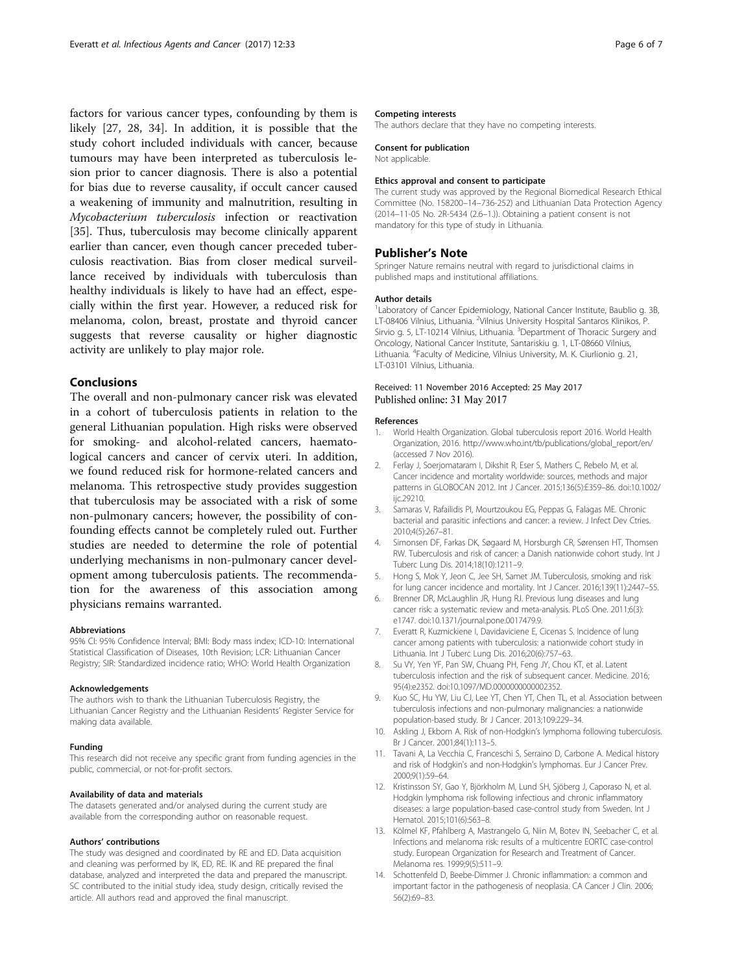<span id="page-5-0"></span>factors for various cancer types, confounding by them is likely [\[27](#page-6-0), [28](#page-6-0), [34\]](#page-6-0). In addition, it is possible that the study cohort included individuals with cancer, because tumours may have been interpreted as tuberculosis lesion prior to cancer diagnosis. There is also a potential for bias due to reverse causality, if occult cancer caused a weakening of immunity and malnutrition, resulting in Mycobacterium tuberculosis infection or reactivation [[35\]](#page-6-0). Thus, tuberculosis may become clinically apparent earlier than cancer, even though cancer preceded tuberculosis reactivation. Bias from closer medical surveillance received by individuals with tuberculosis than healthy individuals is likely to have had an effect, especially within the first year. However, a reduced risk for melanoma, colon, breast, prostate and thyroid cancer suggests that reverse causality or higher diagnostic activity are unlikely to play major role.

# Conclusions

The overall and non-pulmonary cancer risk was elevated in a cohort of tuberculosis patients in relation to the general Lithuanian population. High risks were observed for smoking- and alcohol-related cancers, haematological cancers and cancer of cervix uteri. In addition, we found reduced risk for hormone-related cancers and melanoma. This retrospective study provides suggestion that tuberculosis may be associated with a risk of some non-pulmonary cancers; however, the possibility of confounding effects cannot be completely ruled out. Further studies are needed to determine the role of potential underlying mechanisms in non-pulmonary cancer development among tuberculosis patients. The recommendation for the awareness of this association among physicians remains warranted.

### Abbreviations

95% CI: 95% Confidence Interval; BMI: Body mass index; ICD-10: International Statistical Classification of Diseases, 10th Revision; LCR: Lithuanian Cancer Registry; SIR: Standardized incidence ratio; WHO: World Health Organization

#### Acknowledgements

The authors wish to thank the Lithuanian Tuberculosis Registry, the Lithuanian Cancer Registry and the Lithuanian Residents' Register Service for making data available.

#### Funding

This research did not receive any specific grant from funding agencies in the public, commercial, or not-for-profit sectors.

#### Availability of data and materials

The datasets generated and/or analysed during the current study are available from the corresponding author on reasonable request.

#### Authors' contributions

The study was designed and coordinated by RE and ED. Data acquisition and cleaning was performed by IK, ED, RE. IK and RE prepared the final database, analyzed and interpreted the data and prepared the manuscript. SC contributed to the initial study idea, study design, critically revised the article. All authors read and approved the final manuscript.

#### Competing interests

The authors declare that they have no competing interests.

#### Consent for publication

Not applicable.

#### Ethics approval and consent to participate

The current study was approved by the Regional Biomedical Research Ethical Committee (No. 158200–14–736-252) and Lithuanian Data Protection Agency (2014–11-05 No. 2R-5434 (2.6–1.)). Obtaining a patient consent is not mandatory for this type of study in Lithuania.

## Publisher's Note

Springer Nature remains neutral with regard to jurisdictional claims in published maps and institutional affiliations.

#### Author details

<sup>1</sup> Laboratory of Cancer Epidemiology, National Cancer Institute, Baublio g. 3B LT-08406 Vilnius, Lithuania. <sup>2</sup>Vilnius University Hospital Santaros Klinikos, P. Sirvio g. 5, LT-10214 Vilnius, Lithuania. <sup>3</sup>Department of Thoracic Surgery and Oncology, National Cancer Institute, Santariskiu g. 1, LT-08660 Vilnius, Lithuania. <sup>4</sup>Faculty of Medicine, Vilnius University, M. K. Ciurlionio g. 21, LT-03101 Vilnius, Lithuania.

## Received: 11 November 2016 Accepted: 25 May 2017 Published online: 31 May 2017

#### References

- 1. World Health Organization. Global tuberculosis report 2016. World Health Organization, 2016. [http://www.who.int/tb/publications/global\\_report/en/](http://www.who.int/tb/publications/global_report/en/) (accessed 7 Nov 2016).
- 2. Ferlay J, Soerjomataram I, Dikshit R, Eser S, Mathers C, Rebelo M, et al. Cancer incidence and mortality worldwide: sources, methods and major patterns in GLOBOCAN 2012. Int J Cancer. 2015;136(5):E359–86. doi:[10.1002/](http://dx.doi.org/10.1002/ijc.29210) [ijc.29210](http://dx.doi.org/10.1002/ijc.29210).
- 3. Samaras V, Rafailidis PI, Mourtzoukou EG, Peppas G, Falagas ME. Chronic bacterial and parasitic infections and cancer: a review. J Infect Dev Ctries. 2010;4(5):267–81.
- 4. Simonsen DF, Farkas DK, Søgaard M, Horsburgh CR, Sørensen HT, Thomsen RW. Tuberculosis and risk of cancer: a Danish nationwide cohort study. Int J Tuberc Lung Dis. 2014;18(10):1211–9.
- 5. Hong S, Mok Y, Jeon C, Jee SH, Samet JM. Tuberculosis, smoking and risk for lung cancer incidence and mortality. Int J Cancer. 2016;139(11):2447–55.
- 6. Brenner DR, McLaughlin JR, Hung RJ. Previous lung diseases and lung cancer risk: a systematic review and meta-analysis. PLoS One. 2011;6(3): e1747. doi[:10.1371/journal.pone.0017479.9.](http://dx.doi.org/10.1371/journal.pone.0017479.9)
- 7. Everatt R, Kuzmickiene I, Davidaviciene E, Cicenas S. Incidence of lung cancer among patients with tuberculosis: a nationwide cohort study in Lithuania. Int J Tuberc Lung Dis. 2016;20(6):757–63.
- 8. Su VY, Yen YF, Pan SW, Chuang PH, Feng JY, Chou KT, et al. Latent tuberculosis infection and the risk of subsequent cancer. Medicine. 2016; 95(4):e2352. doi:[10.1097/MD.0000000000002352.](http://dx.doi.org/10.1097/MD.0000000000002352)
- Kuo SC, Hu YW, Liu CJ, Lee YT, Chen YT, Chen TL, et al. Association between tuberculosis infections and non-pulmonary malignancies: a nationwide population-based study. Br J Cancer. 2013;109:229–34.
- 10. Askling J, Ekbom A. Risk of non-Hodgkin's lymphoma following tuberculosis. Br J Cancer. 2001;84(1):113–5.
- 11. Tavani A, La Vecchia C, Franceschi S, Serraino D, Carbone A. Medical history and risk of Hodgkin's and non-Hodgkin's lymphomas. Eur J Cancer Prev. 2000;9(1):59–64.
- 12. Kristinsson SY, Gao Y, Björkholm M, Lund SH, Sjöberg J, Caporaso N, et al. Hodgkin lymphoma risk following infectious and chronic inflammatory diseases: a large population-based case-control study from Sweden. Int J Hematol. 2015;101(6):563–8.
- 13. Kölmel KF, Pfahlberg A, Mastrangelo G, Niin M, Botev IN, Seebacher C, et al. Infections and melanoma risk: results of a multicentre EORTC case-control study. European Organization for Research and Treatment of Cancer. Melanoma res. 1999;9(5):511–9.
- 14. Schottenfeld D, Beebe-Dimmer J. Chronic inflammation: a common and important factor in the pathogenesis of neoplasia. CA Cancer J Clin. 2006; 56(2):69–83.